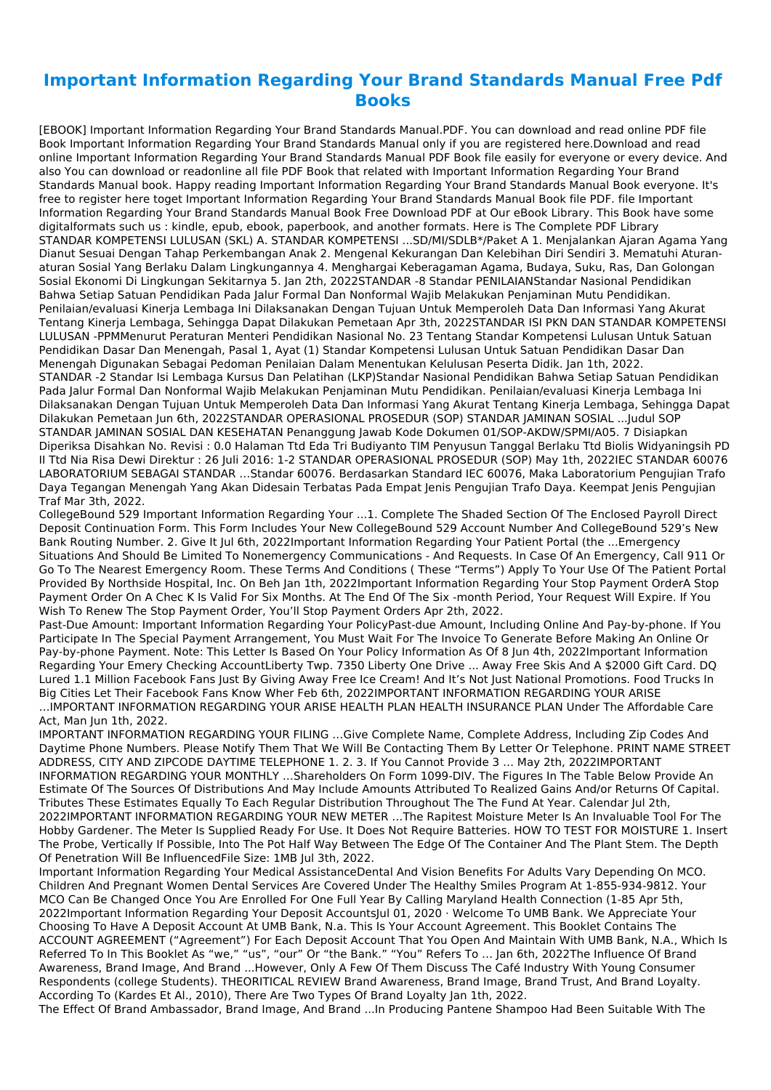## **Important Information Regarding Your Brand Standards Manual Free Pdf Books**

[EBOOK] Important Information Regarding Your Brand Standards Manual.PDF. You can download and read online PDF file Book Important Information Regarding Your Brand Standards Manual only if you are registered here.Download and read online Important Information Regarding Your Brand Standards Manual PDF Book file easily for everyone or every device. And also You can download or readonline all file PDF Book that related with Important Information Regarding Your Brand Standards Manual book. Happy reading Important Information Regarding Your Brand Standards Manual Book everyone. It's free to register here toget Important Information Regarding Your Brand Standards Manual Book file PDF. file Important Information Regarding Your Brand Standards Manual Book Free Download PDF at Our eBook Library. This Book have some digitalformats such us : kindle, epub, ebook, paperbook, and another formats. Here is The Complete PDF Library STANDAR KOMPETENSI LULUSAN (SKL) A. STANDAR KOMPETENSI ...SD/MI/SDLB\*/Paket A 1. Menjalankan Ajaran Agama Yang Dianut Sesuai Dengan Tahap Perkembangan Anak 2. Mengenal Kekurangan Dan Kelebihan Diri Sendiri 3. Mematuhi Aturanaturan Sosial Yang Berlaku Dalam Lingkungannya 4. Menghargai Keberagaman Agama, Budaya, Suku, Ras, Dan Golongan Sosial Ekonomi Di Lingkungan Sekitarnya 5. Jan 2th, 2022STANDAR -8 Standar PENILAIANStandar Nasional Pendidikan Bahwa Setiap Satuan Pendidikan Pada Jalur Formal Dan Nonformal Wajib Melakukan Penjaminan Mutu Pendidikan. Penilaian/evaluasi Kinerja Lembaga Ini Dilaksanakan Dengan Tujuan Untuk Memperoleh Data Dan Informasi Yang Akurat Tentang Kinerja Lembaga, Sehingga Dapat Dilakukan Pemetaan Apr 3th, 2022STANDAR ISI PKN DAN STANDAR KOMPETENSI LULUSAN -PPMMenurut Peraturan Menteri Pendidikan Nasional No. 23 Tentang Standar Kompetensi Lulusan Untuk Satuan Pendidikan Dasar Dan Menengah, Pasal 1, Ayat (1) Standar Kompetensi Lulusan Untuk Satuan Pendidikan Dasar Dan Menengah Digunakan Sebagai Pedoman Penilaian Dalam Menentukan Kelulusan Peserta Didik. Jan 1th, 2022. STANDAR -2 Standar Isi Lembaga Kursus Dan Pelatihan (LKP)Standar Nasional Pendidikan Bahwa Setiap Satuan Pendidikan Pada Jalur Formal Dan Nonformal Wajib Melakukan Penjaminan Mutu Pendidikan. Penilaian/evaluasi Kinerja Lembaga Ini Dilaksanakan Dengan Tujuan Untuk Memperoleh Data Dan Informasi Yang Akurat Tentang Kinerja Lembaga, Sehingga Dapat Dilakukan Pemetaan Jun 6th, 2022STANDAR OPERASIONAL PROSEDUR (SOP) STANDAR JAMINAN SOSIAL ...Judul SOP STANDAR JAMINAN SOSIAL DAN KESEHATAN Penanggung Jawab Kode Dokumen 01/SOP-AKDW/SPMI/A05. 7 Disiapkan Diperiksa Disahkan No. Revisi : 0.0 Halaman Ttd Eda Tri Budiyanto TIM Penyusun Tanggal Berlaku Ttd Biolis Widyaningsih PD II Ttd Nia Risa Dewi Direktur : 26 Juli 2016: 1-2 STANDAR OPERASIONAL PROSEDUR (SOP) May 1th, 2022IEC STANDAR 60076 LABORATORIUM SEBAGAI STANDAR …Standar 60076. Berdasarkan Standard IEC 60076, Maka Laboratorium Pengujian Trafo Daya Tegangan Menengah Yang Akan Didesain Terbatas Pada Empat Jenis Pengujian Trafo Daya. Keempat Jenis Pengujian Traf Mar 3th, 2022.

CollegeBound 529 Important Information Regarding Your ...1. Complete The Shaded Section Of The Enclosed Payroll Direct Deposit Continuation Form. This Form Includes Your New CollegeBound 529 Account Number And CollegeBound 529's New Bank Routing Number. 2. Give It Jul 6th, 2022Important Information Regarding Your Patient Portal (the ...Emergency Situations And Should Be Limited To Nonemergency Communications - And Requests. In Case Of An Emergency, Call 911 Or Go To The Nearest Emergency Room. These Terms And Conditions ( These "Terms") Apply To Your Use Of The Patient Portal Provided By Northside Hospital, Inc. On Beh Jan 1th, 2022Important Information Regarding Your Stop Payment OrderA Stop Payment Order On A Chec K Is Valid For Six Months. At The End Of The Six -month Period, Your Request Will Expire. If You Wish To Renew The Stop Payment Order, You'll Stop Payment Orders Apr 2th, 2022.

Past-Due Amount: Important Information Regarding Your PolicyPast-due Amount, Including Online And Pay-by-phone. If You Participate In The Special Payment Arrangement, You Must Wait For The Invoice To Generate Before Making An Online Or Pay-by-phone Payment. Note: This Letter Is Based On Your Policy Information As Of 8 Jun 4th, 2022Important Information Regarding Your Emery Checking AccountLiberty Twp. 7350 Liberty One Drive ... Away Free Skis And A \$2000 Gift Card. DQ Lured 1.1 Million Facebook Fans Just By Giving Away Free Ice Cream! And It's Not Just National Promotions. Food Trucks In Big Cities Let Their Facebook Fans Know Wher Feb 6th, 2022IMPORTANT INFORMATION REGARDING YOUR ARISE …IMPORTANT INFORMATION REGARDING YOUR ARISE HEALTH PLAN HEALTH INSURANCE PLAN Under The Affordable Care Act, Man Jun 1th, 2022.

IMPORTANT INFORMATION REGARDING YOUR FILING …Give Complete Name, Complete Address, Including Zip Codes And Daytime Phone Numbers. Please Notify Them That We Will Be Contacting Them By Letter Or Telephone. PRINT NAME STREET ADDRESS, CITY AND ZIPCODE DAYTIME TELEPHONE 1. 2. 3. If You Cannot Provide 3 … May 2th, 2022IMPORTANT INFORMATION REGARDING YOUR MONTHLY …Shareholders On Form 1099-DIV. The Figures In The Table Below Provide An Estimate Of The Sources Of Distributions And May Include Amounts Attributed To Realized Gains And/or Returns Of Capital. Tributes These Estimates Equally To Each Regular Distribution Throughout The The Fund At Year. Calendar Jul 2th, 2022IMPORTANT INFORMATION REGARDING YOUR NEW METER …The Rapitest Moisture Meter Is An Invaluable Tool For The

Hobby Gardener. The Meter Is Supplied Ready For Use. It Does Not Require Batteries. HOW TO TEST FOR MOISTURE 1. Insert The Probe, Vertically If Possible, Into The Pot Half Way Between The Edge Of The Container And The Plant Stem. The Depth Of Penetration Will Be InfluencedFile Size: 1MB Jul 3th, 2022.

Important Information Regarding Your Medical AssistanceDental And Vision Benefits For Adults Vary Depending On MCO. Children And Pregnant Women Dental Services Are Covered Under The Healthy Smiles Program At 1-855-934-9812. Your MCO Can Be Changed Once You Are Enrolled For One Full Year By Calling Maryland Health Connection (1-85 Apr 5th, 2022Important Information Regarding Your Deposit AccountsJul 01, 2020 · Welcome To UMB Bank. We Appreciate Your Choosing To Have A Deposit Account At UMB Bank, N.a. This Is Your Account Agreement. This Booklet Contains The ACCOUNT AGREEMENT ("Agreement") For Each Deposit Account That You Open And Maintain With UMB Bank, N.A., Which Is Referred To In This Booklet As "we," "us", "our" Or "the Bank." "You" Refers To … Jan 6th, 2022The Influence Of Brand Awareness, Brand Image, And Brand ...However, Only A Few Of Them Discuss The Café Industry With Young Consumer Respondents (college Students). THEORITICAL REVIEW Brand Awareness, Brand Image, Brand Trust, And Brand Loyalty. According To (Kardes Et Al., 2010), There Are Two Types Of Brand Loyalty Jan 1th, 2022.

The Effect Of Brand Ambassador, Brand Image, And Brand ...In Producing Pantene Shampoo Had Been Suitable With The